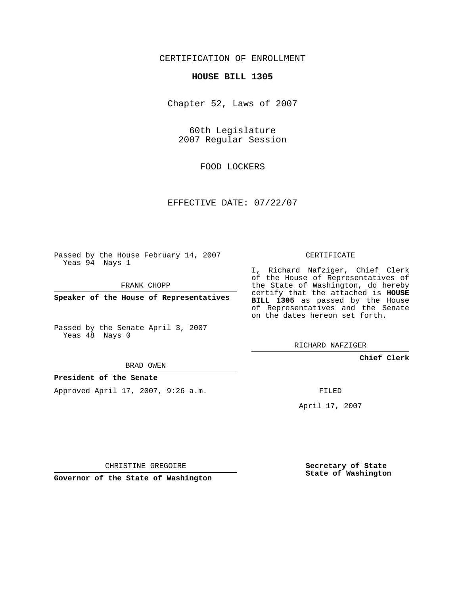## CERTIFICATION OF ENROLLMENT

#### **HOUSE BILL 1305**

Chapter 52, Laws of 2007

60th Legislature 2007 Regular Session

FOOD LOCKERS

EFFECTIVE DATE: 07/22/07

Passed by the House February 14, 2007 Yeas 94 Nays 1

FRANK CHOPP

**Speaker of the House of Representatives**

Passed by the Senate April 3, 2007 Yeas 48 Nays 0

BRAD OWEN

### **President of the Senate**

Approved April 17, 2007, 9:26 a.m.

CERTIFICATE

I, Richard Nafziger, Chief Clerk of the House of Representatives of the State of Washington, do hereby certify that the attached is **HOUSE BILL 1305** as passed by the House of Representatives and the Senate on the dates hereon set forth.

RICHARD NAFZIGER

**Chief Clerk**

FILED

April 17, 2007

CHRISTINE GREGOIRE

**Governor of the State of Washington**

**Secretary of State State of Washington**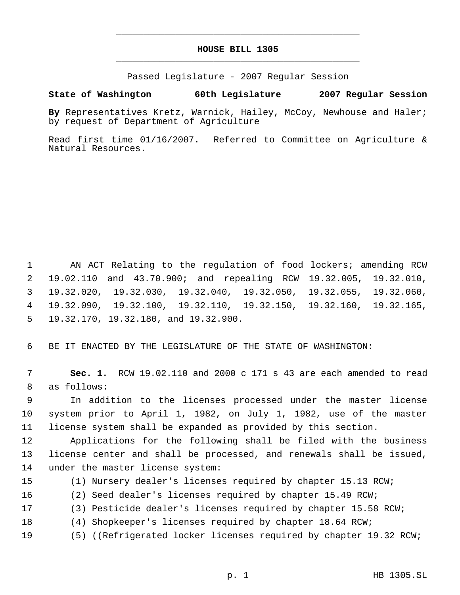# **HOUSE BILL 1305** \_\_\_\_\_\_\_\_\_\_\_\_\_\_\_\_\_\_\_\_\_\_\_\_\_\_\_\_\_\_\_\_\_\_\_\_\_\_\_\_\_\_\_\_\_

\_\_\_\_\_\_\_\_\_\_\_\_\_\_\_\_\_\_\_\_\_\_\_\_\_\_\_\_\_\_\_\_\_\_\_\_\_\_\_\_\_\_\_\_\_

Passed Legislature - 2007 Regular Session

### **State of Washington 60th Legislature 2007 Regular Session**

**By** Representatives Kretz, Warnick, Hailey, McCoy, Newhouse and Haler; by request of Department of Agriculture

Read first time 01/16/2007. Referred to Committee on Agriculture & Natural Resources.

 AN ACT Relating to the regulation of food lockers; amending RCW 19.02.110 and 43.70.900; and repealing RCW 19.32.005, 19.32.010, 19.32.020, 19.32.030, 19.32.040, 19.32.050, 19.32.055, 19.32.060, 19.32.090, 19.32.100, 19.32.110, 19.32.150, 19.32.160, 19.32.165, 19.32.170, 19.32.180, and 19.32.900.

BE IT ENACTED BY THE LEGISLATURE OF THE STATE OF WASHINGTON:

 **Sec. 1.** RCW 19.02.110 and 2000 c 171 s 43 are each amended to read as follows:

 In addition to the licenses processed under the master license system prior to April 1, 1982, on July 1, 1982, use of the master license system shall be expanded as provided by this section.

 Applications for the following shall be filed with the business license center and shall be processed, and renewals shall be issued, under the master license system:

(1) Nursery dealer's licenses required by chapter 15.13 RCW;

(2) Seed dealer's licenses required by chapter 15.49 RCW;

- (3) Pesticide dealer's licenses required by chapter 15.58 RCW;
- (4) Shopkeeper's licenses required by chapter 18.64 RCW;
- 19 (5) ((<del>Refrigerated locker licenses required by chapter 19.32 RCW;</del>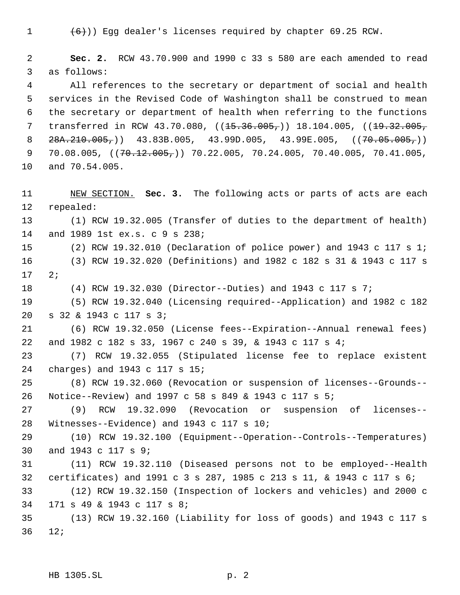$(6)$ )) Egg dealer's licenses required by chapter 69.25 RCW.

 **Sec. 2.** RCW 43.70.900 and 1990 c 33 s 580 are each amended to read as follows:

 All references to the secretary or department of social and health services in the Revised Code of Washington shall be construed to mean the secretary or department of health when referring to the functions 7 transferred in RCW 43.70.080, ((15.36.005,)) 18.104.005, ((19.32.005,  $28A.210.005,$  (43.83B.005, 43.99D.005, 43.99E.005, ( $(70.05.005, )$ ) 9 70.08.005,  $((70.12.005, 70.22.005, 70.24.005, 70.40.005, 70.41.005,$ and 70.54.005.

 NEW SECTION. **Sec. 3.** The following acts or parts of acts are each repealed:

 (1) RCW 19.32.005 (Transfer of duties to the department of health) and 1989 1st ex.s. c 9 s 238;

 (2) RCW 19.32.010 (Declaration of police power) and 1943 c 117 s 1; (3) RCW 19.32.020 (Definitions) and 1982 c 182 s 31 & 1943 c 117 s 2;

(4) RCW 19.32.030 (Director--Duties) and 1943 c 117 s 7;

 (5) RCW 19.32.040 (Licensing required--Application) and 1982 c 182 s 32 & 1943 c 117 s 3;

 (6) RCW 19.32.050 (License fees--Expiration--Annual renewal fees) and 1982 c 182 s 33, 1967 c 240 s 39, & 1943 c 117 s 4;

 (7) RCW 19.32.055 (Stipulated license fee to replace existent charges) and 1943 c 117 s 15;

 (8) RCW 19.32.060 (Revocation or suspension of licenses--Grounds-- Notice--Review) and 1997 c 58 s 849 & 1943 c 117 s 5;

 (9) RCW 19.32.090 (Revocation or suspension of licenses-- Witnesses--Evidence) and 1943 c 117 s 10;

 (10) RCW 19.32.100 (Equipment--Operation--Controls--Temperatures) and 1943 c 117 s 9;

 (11) RCW 19.32.110 (Diseased persons not to be employed--Health certificates) and 1991 c 3 s 287, 1985 c 213 s 11, & 1943 c 117 s 6;

 (12) RCW 19.32.150 (Inspection of lockers and vehicles) and 2000 c 171 s 49 & 1943 c 117 s 8;

 (13) RCW 19.32.160 (Liability for loss of goods) and 1943 c 117 s 12;